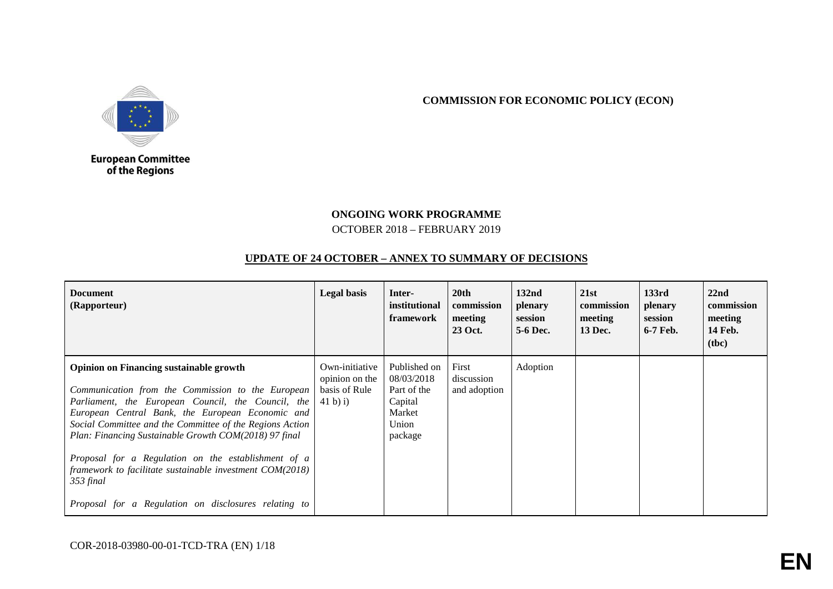

**COMMISSION FOR ECONOMIC POLICY (ECON)**

## European Committee<br>of the Regions

## **ONGOING WORK PROGRAMME** OCTOBER 2018 – FEBRUARY 2019

## **UPDATE OF 24 OCTOBER – ANNEX TO SUMMARY OF DECISIONS**

| <b>Document</b><br>(Rapporteur)                                                                                                                                                                                                                                                                                                                                                                                                                                                                                              | <b>Legal basis</b>                                             | Inter-<br>institutional<br>framework                                               | 20 <sub>th</sub><br>commission<br>meeting<br>23 Oct. | 132 <sub>nd</sub><br>plenary<br>session<br>5-6 Dec. | 21st<br>commission<br>meeting<br>13 Dec. | 133rd<br>plenary<br>session<br>6-7 Feb. | 22 <sub>nd</sub><br>commission<br>meeting<br><b>14 Feb.</b><br>( <b>the</b> ) |
|------------------------------------------------------------------------------------------------------------------------------------------------------------------------------------------------------------------------------------------------------------------------------------------------------------------------------------------------------------------------------------------------------------------------------------------------------------------------------------------------------------------------------|----------------------------------------------------------------|------------------------------------------------------------------------------------|------------------------------------------------------|-----------------------------------------------------|------------------------------------------|-----------------------------------------|-------------------------------------------------------------------------------|
| <b>Opinion on Financing sustainable growth</b><br>Communication from the Commission to the European<br>Parliament, the European Council, the Council, the<br>European Central Bank, the European Economic and<br>Social Committee and the Committee of the Regions Action<br>Plan: Financing Sustainable Growth COM(2018) 97 final<br>Proposal for a Regulation on the establishment of a<br>framework to facilitate sustainable investment $COM(2018)$<br>353 final<br>Proposal for a Regulation on disclosures relating to | Own-initiative<br>opinion on the<br>basis of Rule<br>(41 b) i) | Published on<br>08/03/2018<br>Part of the<br>Capital<br>Market<br>Union<br>package | First<br>discussion<br>and adoption                  | Adoption                                            |                                          |                                         |                                                                               |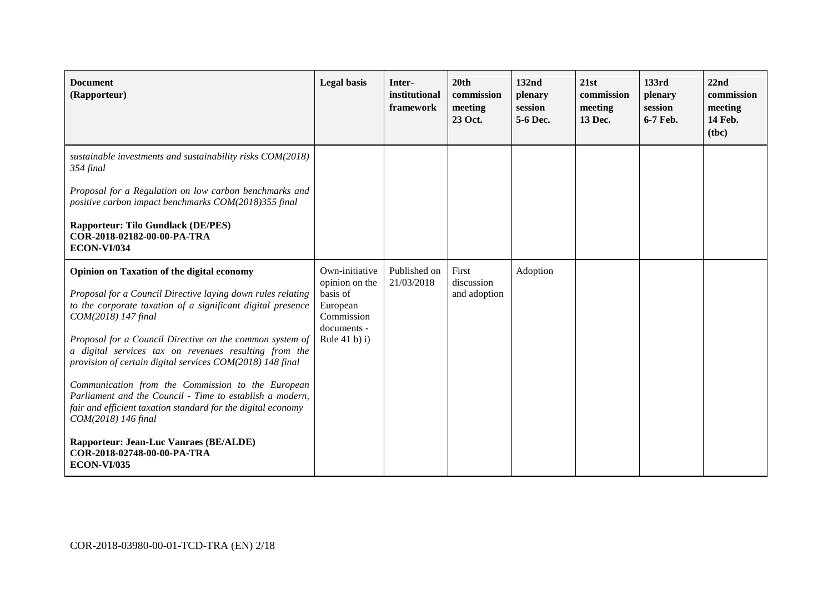| <b>Document</b><br>(Rapporteur)                                                                                                                                                                                                                                                                                                                                                                                                                                                                                                                                                                                                                                                                        | <b>Legal</b> basis                                                                                                | Inter-<br>institutional<br>framework | 20th<br>commission<br>meeting<br>23 Oct. | 132nd<br>plenary<br>session<br>5-6 Dec. | 21st<br>commission<br>meeting<br>13 Dec. | 133rd<br>plenary<br>session<br>6-7 Feb. | 22nd<br>commission<br>meeting<br>14 Feb.<br>(tbc) |
|--------------------------------------------------------------------------------------------------------------------------------------------------------------------------------------------------------------------------------------------------------------------------------------------------------------------------------------------------------------------------------------------------------------------------------------------------------------------------------------------------------------------------------------------------------------------------------------------------------------------------------------------------------------------------------------------------------|-------------------------------------------------------------------------------------------------------------------|--------------------------------------|------------------------------------------|-----------------------------------------|------------------------------------------|-----------------------------------------|---------------------------------------------------|
| sustainable investments and sustainability risks COM(2018)<br>354 final<br>Proposal for a Regulation on low carbon benchmarks and<br>positive carbon impact benchmarks COM(2018)355 final<br><b>Rapporteur: Tilo Gundlack (DE/PES)</b><br>COR-2018-02182-00-00-PA-TRA<br><b>ECON-VI/034</b>                                                                                                                                                                                                                                                                                                                                                                                                            |                                                                                                                   |                                      |                                          |                                         |                                          |                                         |                                                   |
| <b>Opinion on Taxation of the digital economy</b><br>Proposal for a Council Directive laying down rules relating<br>to the corporate taxation of a significant digital presence<br>COM(2018) 147 final<br>Proposal for a Council Directive on the common system of<br>a digital services tax on revenues resulting from the<br>provision of certain digital services COM(2018) 148 final<br>Communication from the Commission to the European<br>Parliament and the Council - Time to establish a modern,<br>fair and efficient taxation standard for the digital economy<br>COM(2018) 146 final<br><b>Rapporteur: Jean-Luc Vanraes (BE/ALDE)</b><br>COR-2018-02748-00-00-PA-TRA<br><b>ECON-VI/035</b> | Own-initiative<br>opinion on the<br>basis of<br>European<br>Commission<br>documents -<br>Rule 41 $\mathbf b$ ) i) | Published on<br>21/03/2018           | First<br>discussion<br>and adoption      | Adoption                                |                                          |                                         |                                                   |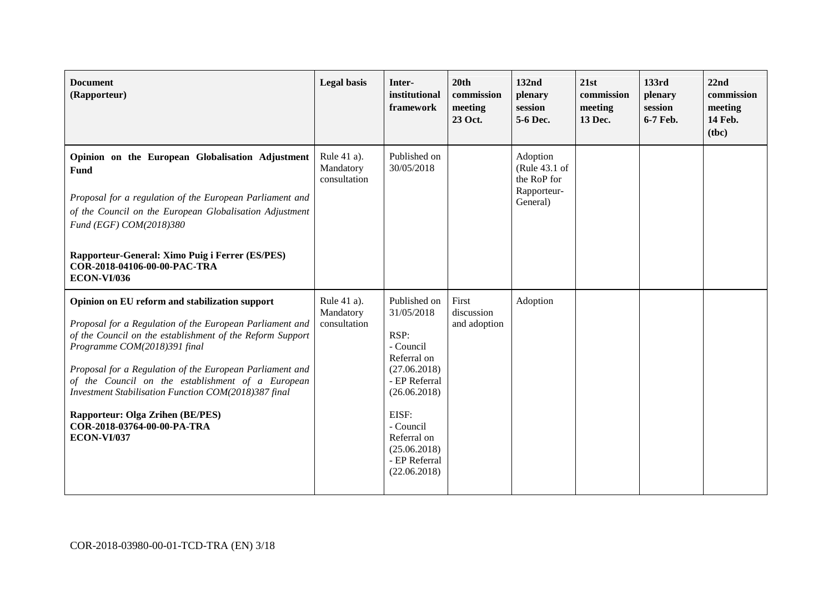| <b>Document</b><br>(Rapporteur)                                                                                                                                                                                                                                                                                                                                                                                                                                    | <b>Legal</b> basis                       | Inter-<br>institutional<br>framework                                                                                                                                                                  | 20th<br>commission<br>meeting<br>23 Oct. | 132nd<br>plenary<br>session<br>5-6 Dec.                             | 21st<br>commission<br>meeting<br>13 Dec. | 133rd<br>plenary<br>session<br>6-7 Feb. | 22nd<br>commission<br>meeting<br>14 Feb.<br>(tbc) |
|--------------------------------------------------------------------------------------------------------------------------------------------------------------------------------------------------------------------------------------------------------------------------------------------------------------------------------------------------------------------------------------------------------------------------------------------------------------------|------------------------------------------|-------------------------------------------------------------------------------------------------------------------------------------------------------------------------------------------------------|------------------------------------------|---------------------------------------------------------------------|------------------------------------------|-----------------------------------------|---------------------------------------------------|
| Opinion on the European Globalisation Adjustment<br>Fund<br>Proposal for a regulation of the European Parliament and<br>of the Council on the European Globalisation Adjustment<br>Fund (EGF) COM(2018)380<br>Rapporteur-General: Ximo Puig i Ferrer (ES/PES)<br>COR-2018-04106-00-00-PAC-TRA<br><b>ECON-VI/036</b>                                                                                                                                                | Rule 41 a).<br>Mandatory<br>consultation | Published on<br>30/05/2018                                                                                                                                                                            |                                          | Adoption<br>(Rule 43.1 of<br>the RoP for<br>Rapporteur-<br>General) |                                          |                                         |                                                   |
| Opinion on EU reform and stabilization support<br>Proposal for a Regulation of the European Parliament and<br>of the Council on the establishment of the Reform Support<br>Programme COM(2018)391 final<br>Proposal for a Regulation of the European Parliament and<br>of the Council on the establishment of a European<br>Investment Stabilisation Function COM(2018)387 final<br>Rapporteur: Olga Zrihen (BE/PES)<br>COR-2018-03764-00-00-PA-TRA<br>ECON-VI/037 | Rule 41 a).<br>Mandatory<br>consultation | Published on<br>31/05/2018<br>RSP:<br>- Council<br>Referral on<br>(27.06.2018)<br>- EP Referral<br>(26.06.2018)<br>EISF:<br>- Council<br>Referral on<br>(25.06.2018)<br>- EP Referral<br>(22.06.2018) | First<br>discussion<br>and adoption      | Adoption                                                            |                                          |                                         |                                                   |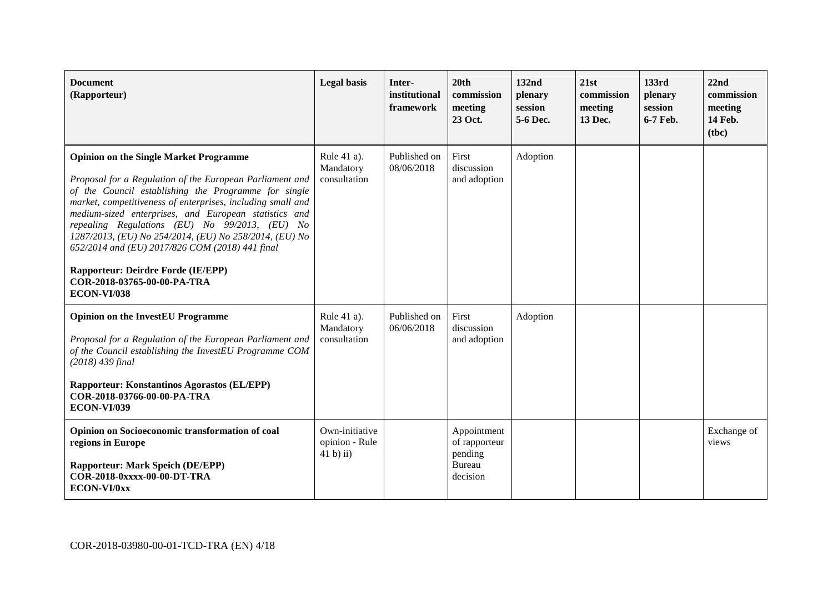| <b>Document</b><br>(Rapporteur)                                                                                                                                                                                                                                                                                                                                                                                                                                                                                                                            | <b>Legal</b> basis                            | Inter-<br>institutional<br>framework | 20 <sub>th</sub><br>commission<br>meeting<br>23 Oct.          | 132nd<br>plenary<br>session<br>5-6 Dec. | 21st<br>commission<br>meeting<br>13 Dec. | 133rd<br>plenary<br>session<br>6-7 Feb. | 22nd<br>commission<br>meeting<br>14 Feb.<br>(tbc) |
|------------------------------------------------------------------------------------------------------------------------------------------------------------------------------------------------------------------------------------------------------------------------------------------------------------------------------------------------------------------------------------------------------------------------------------------------------------------------------------------------------------------------------------------------------------|-----------------------------------------------|--------------------------------------|---------------------------------------------------------------|-----------------------------------------|------------------------------------------|-----------------------------------------|---------------------------------------------------|
| <b>Opinion on the Single Market Programme</b><br>Proposal for a Regulation of the European Parliament and<br>of the Council establishing the Programme for single<br>market, competitiveness of enterprises, including small and<br>medium-sized enterprises, and European statistics and<br>repealing Regulations (EU) No 99/2013, (EU) No<br>1287/2013, (EU) No 254/2014, (EU) No 258/2014, (EU) No<br>652/2014 and (EU) 2017/826 COM (2018) 441 final<br><b>Rapporteur: Deirdre Forde (IE/EPP)</b><br>COR-2018-03765-00-00-PA-TRA<br><b>ECON-VI/038</b> | Rule 41 a).<br>Mandatory<br>consultation      | Published on<br>08/06/2018           | First<br>discussion<br>and adoption                           | Adoption                                |                                          |                                         |                                                   |
| <b>Opinion on the InvestEU Programme</b><br>Proposal for a Regulation of the European Parliament and<br>of the Council establishing the InvestEU Programme COM<br>(2018) 439 final<br><b>Rapporteur: Konstantinos Agorastos (EL/EPP)</b><br>COR-2018-03766-00-00-PA-TRA<br><b>ECON-VI/039</b>                                                                                                                                                                                                                                                              | Rule 41 a).<br>Mandatory<br>consultation      | Published on<br>06/06/2018           | First<br>discussion<br>and adoption                           | Adoption                                |                                          |                                         |                                                   |
| Opinion on Socioeconomic transformation of coal<br>regions in Europe<br><b>Rapporteur: Mark Speich (DE/EPP)</b><br>COR-2018-0xxxx-00-00-DT-TRA<br>ECON-VI/0xx                                                                                                                                                                                                                                                                                                                                                                                              | Own-initiative<br>opinion - Rule<br>41 b) ii) |                                      | Appointment<br>of rapporteur<br>pending<br>Bureau<br>decision |                                         |                                          |                                         | Exchange of<br>views                              |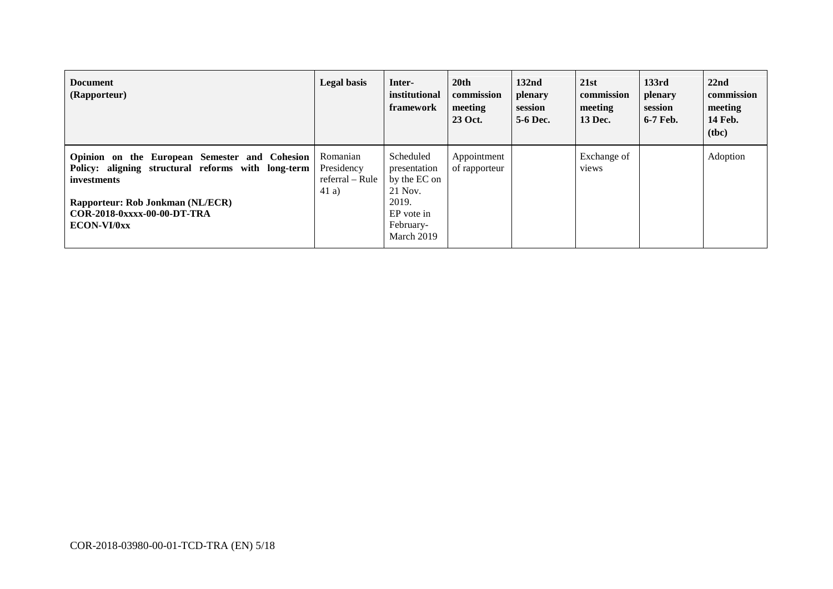| <b>Document</b><br>(Rapporteur)                                                                                                                                                                             | <b>Legal basis</b>                                | Inter-<br>institutional<br>framework                                                                   | 20 <sup>th</sup><br>commission<br>meeting<br>23 Oct. | 132 <sub>nd</sub><br>plenary<br>session<br>5-6 Dec. | 21st<br>commission<br>meeting<br>13 Dec. | 133rd<br>plenary<br>session<br>6-7 Feb. | 22nd<br>commission<br>meeting<br><b>14 Feb.</b><br>( <b>the</b> ) |
|-------------------------------------------------------------------------------------------------------------------------------------------------------------------------------------------------------------|---------------------------------------------------|--------------------------------------------------------------------------------------------------------|------------------------------------------------------|-----------------------------------------------------|------------------------------------------|-----------------------------------------|-------------------------------------------------------------------|
| Opinion on the European Semester and Cohesion<br>Policy: aligning structural reforms with long-term<br><i>investments</i><br>Rapporteur: Rob Jonkman (NL/ECR)<br>COR-2018-0xxxx-00-00-DT-TRA<br>ECON-VI/0xx | Romanian<br>Presidency<br>referral – Rule<br>41a) | Scheduled<br>presentation<br>by the EC on<br>21 Nov.<br>2019.<br>EP vote in<br>February-<br>March 2019 | Appointment<br>of rapporteur                         |                                                     | Exchange of<br>views                     |                                         | Adoption                                                          |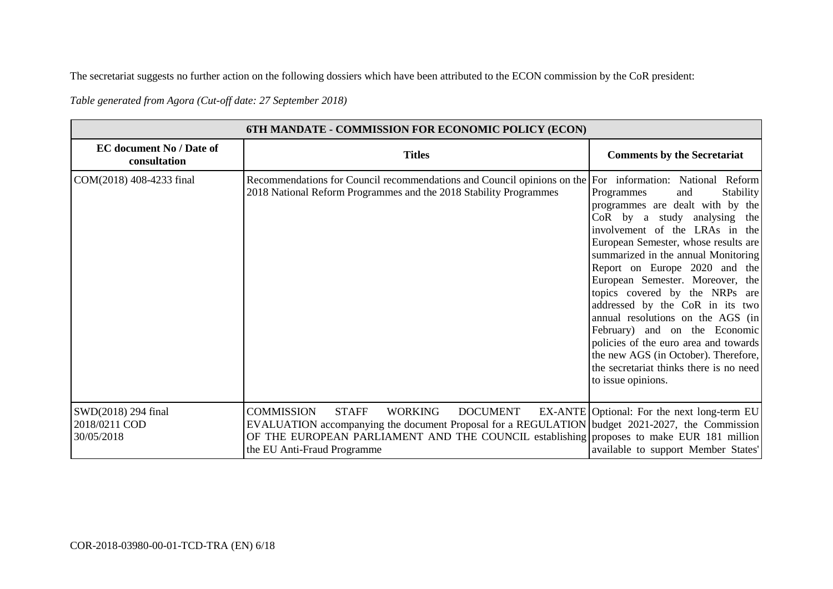The secretariat suggests no further action on the following dossiers which have been attributed to the ECON commission by the CoR president:

*Table generated from Agora (Cut-off date: 27 September 2018)* 

| 6TH MANDATE - COMMISSION FOR ECONOMIC POLICY (ECON) |                                                                                                                                                                                                                                                                                                      |                                                                                                                                                                                                                                                                                                                                                                                                                                                                                                                                                                                              |  |  |  |
|-----------------------------------------------------|------------------------------------------------------------------------------------------------------------------------------------------------------------------------------------------------------------------------------------------------------------------------------------------------------|----------------------------------------------------------------------------------------------------------------------------------------------------------------------------------------------------------------------------------------------------------------------------------------------------------------------------------------------------------------------------------------------------------------------------------------------------------------------------------------------------------------------------------------------------------------------------------------------|--|--|--|
| <b>EC</b> document No / Date of<br>consultation     | <b>Titles</b>                                                                                                                                                                                                                                                                                        | <b>Comments by the Secretariat</b>                                                                                                                                                                                                                                                                                                                                                                                                                                                                                                                                                           |  |  |  |
| COM(2018) 408-4233 final                            | Recommendations for Council recommendations and Council opinions on the For information: National Reform<br>2018 National Reform Programmes and the 2018 Stability Programmes                                                                                                                        | Programmes<br><b>Stability</b><br>and<br>programmes are dealt with by the<br>CoR by a study analysing the<br>involvement of the LRAs in the<br>European Semester, whose results are<br>summarized in the annual Monitoring<br>Report on Europe 2020 and the<br>European Semester. Moreover, the<br>topics covered by the NRPs are<br>addressed by the CoR in its two<br>annual resolutions on the AGS (in<br>February) and on the Economic<br>policies of the euro area and towards<br>the new AGS (in October). Therefore,<br>the secretariat thinks there is no need<br>to issue opinions. |  |  |  |
| SWD(2018) 294 final<br>2018/0211 COD<br>30/05/2018  | <b>COMMISSION</b><br><b>STAFF</b><br><b>WORKING</b><br><b>DOCUMENT</b><br>EVALUATION accompanying the document Proposal for a REGULATION budget 2021-2027, the Commission<br>OF THE EUROPEAN PARLIAMENT AND THE COUNCIL establishing proposes to make EUR 181 million<br>the EU Anti-Fraud Programme | EX-ANTE Optional: For the next long-term EU<br>available to support Member States'                                                                                                                                                                                                                                                                                                                                                                                                                                                                                                           |  |  |  |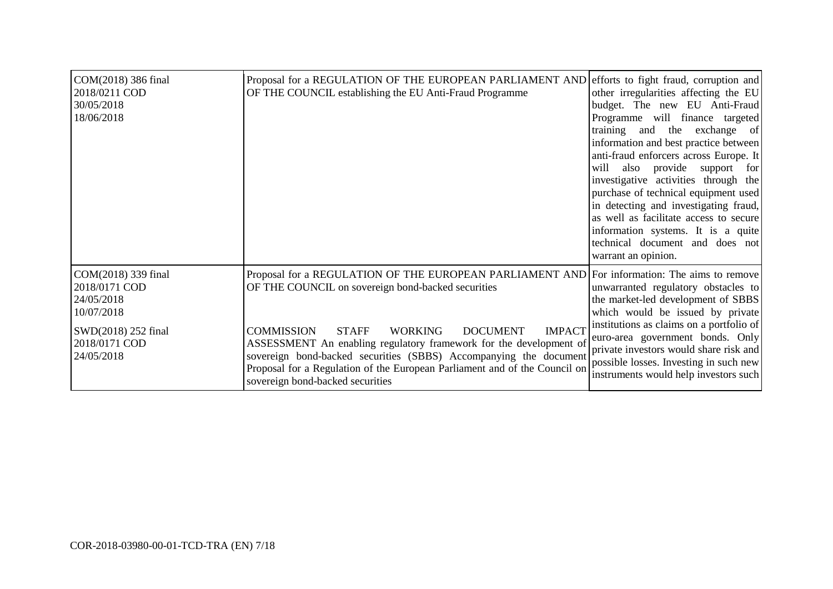| COM(2018) 386 final<br>2018/0211 COD<br>30/05/2018<br>18/06/2018                                                       | Proposal for a REGULATION OF THE EUROPEAN PARLIAMENT AND efforts to fight fraud, corruption and<br>OF THE COUNCIL establishing the EU Anti-Fraud Programme                                                                                                                                                                                                                                                                                                                                                 | other irregularities affecting the EU<br>budget. The new EU Anti-Fraud<br>Programme will finance targeted<br>training and<br>the<br>exchange of<br>information and best practice between<br>anti-fraud enforcers across Europe. It<br>will also provide support for<br>investigative activities through the<br>purchase of technical equipment used<br>in detecting and investigating fraud,<br>as well as facilitate access to secure<br>information systems. It is a quite<br>technical document and does not<br>warrant an opinion. |
|------------------------------------------------------------------------------------------------------------------------|------------------------------------------------------------------------------------------------------------------------------------------------------------------------------------------------------------------------------------------------------------------------------------------------------------------------------------------------------------------------------------------------------------------------------------------------------------------------------------------------------------|----------------------------------------------------------------------------------------------------------------------------------------------------------------------------------------------------------------------------------------------------------------------------------------------------------------------------------------------------------------------------------------------------------------------------------------------------------------------------------------------------------------------------------------|
| COM(2018) 339 final<br>2018/0171 COD<br>24/05/2018<br>10/07/2018<br>SWD(2018) 252 final<br>2018/0171 COD<br>24/05/2018 | Proposal for a REGULATION OF THE EUROPEAN PARLIAMENT AND For information: The aims to remove<br>OF THE COUNCIL on sovereign bond-backed securities<br><b>IMPACT</b><br><b>COMMISSION</b><br><b>STAFF</b><br><b>DOCUMENT</b><br><b>WORKING</b><br>ASSESSMENT An enabling regulatory framework for the development of<br>sovereign bond-backed securities (SBBS) Accompanying the document<br>Proposal for a Regulation of the European Parliament and of the Council on<br>sovereign bond-backed securities | unwarranted regulatory obstacles to<br>the market-led development of SBBS<br>which would be issued by private<br>institutions as claims on a portfolio of<br>euro-area government bonds. Only<br>private investors would share risk and<br>possible losses. Investing in such new<br>instruments would help investors such                                                                                                                                                                                                             |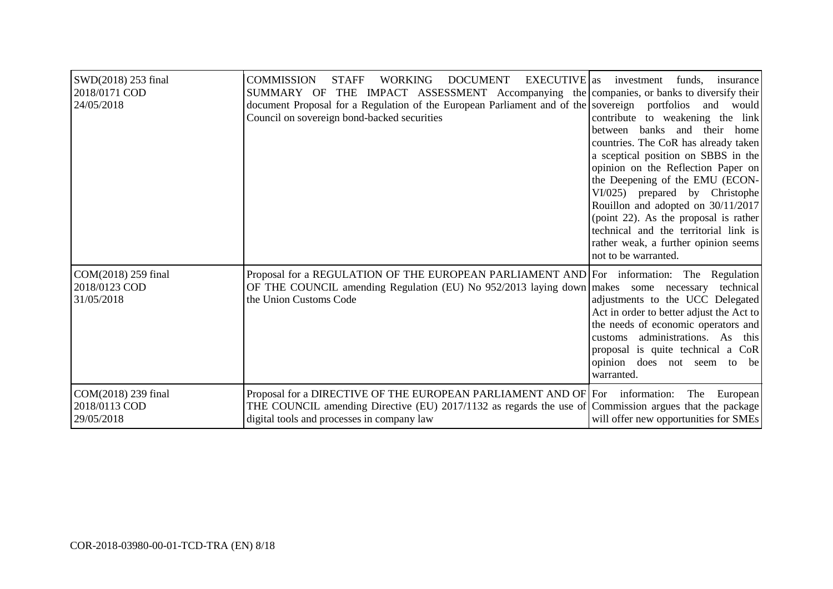| SWD(2018) 253 final<br>2018/0171 COD<br>24/05/2018 | <b>WORKING</b><br><b>DOCUMENT</b><br>EXECUTIVE as<br><b>COMMISSION</b><br><b>STAFF</b><br>SUMMARY OF THE IMPACT ASSESSMENT Accompanying the companies, or banks to diversify their<br>document Proposal for a Regulation of the European Parliament and of the sovereign portfolios and would<br>Council on sovereign bond-backed securities | investment<br>funds,<br>insurance<br>contribute to weakening the link<br>between banks and their home<br>countries. The CoR has already taken<br>a sceptical position on SBBS in the<br>opinion on the Reflection Paper on<br>the Deepening of the EMU (ECON-<br>VI/025) prepared by Christophe<br>Rouillon and adopted on 30/11/2017<br>(point 22). As the proposal is rather<br>technical and the territorial link is<br>rather weak, a further opinion seems<br>not to be warranted. |
|----------------------------------------------------|----------------------------------------------------------------------------------------------------------------------------------------------------------------------------------------------------------------------------------------------------------------------------------------------------------------------------------------------|-----------------------------------------------------------------------------------------------------------------------------------------------------------------------------------------------------------------------------------------------------------------------------------------------------------------------------------------------------------------------------------------------------------------------------------------------------------------------------------------|
| COM(2018) 259 final<br>2018/0123 COD<br>31/05/2018 | Proposal for a REGULATION OF THE EUROPEAN PARLIAMENT AND For information: The Regulation<br>OF THE COUNCIL amending Regulation (EU) No 952/2013 laying down makes some necessary<br>the Union Customs Code                                                                                                                                   | technical<br>adjustments to the UCC Delegated<br>Act in order to better adjust the Act to<br>the needs of economic operators and<br>administrations. As this<br>customs<br>proposal is quite technical a CoR<br>opinion does not seem to be<br>warranted.                                                                                                                                                                                                                               |
| COM(2018) 239 final<br>2018/0113 COD<br>29/05/2018 | Proposal for a DIRECTIVE OF THE EUROPEAN PARLIAMENT AND OF For information:<br>THE COUNCIL amending Directive (EU) 2017/1132 as regards the use of Commission argues that the package<br>digital tools and processes in company law                                                                                                          | The<br>European<br>will offer new opportunities for SMEs                                                                                                                                                                                                                                                                                                                                                                                                                                |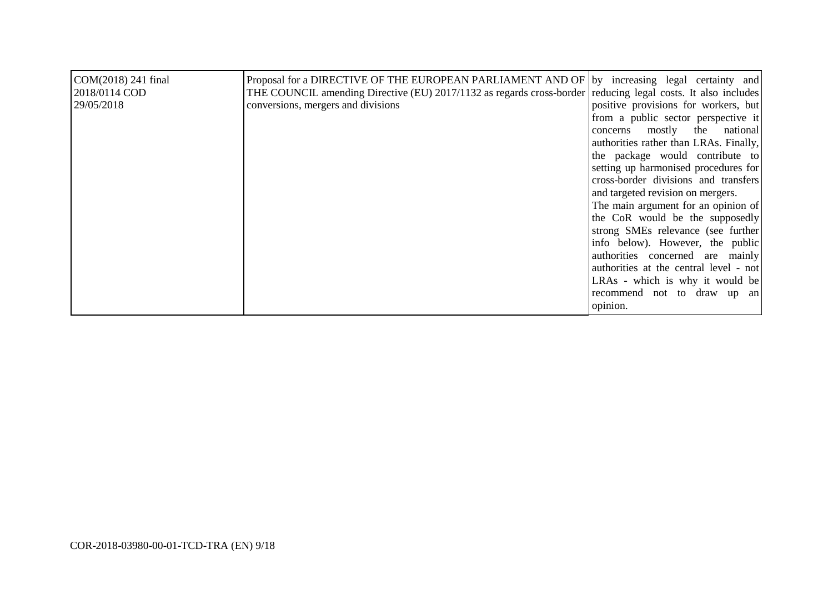| COM(2018) 241 final<br>2018/0114 COD<br>29/05/2018 | Proposal for a DIRECTIVE OF THE EUROPEAN PARLIAMENT AND OF by increasing legal certainty and<br>THE COUNCIL amending Directive (EU) 2017/1132 as regards cross-border reducing legal costs. It also includes<br>conversions, mergers and divisions | positive provisions for workers, but<br>from a public sector perspective it<br>mostly the national<br>concerns<br>authorities rather than LRAs. Finally,<br>the package would contribute to<br>setting up harmonised procedures for<br>cross-border divisions and transfers<br>and targeted revision on mergers.<br>The main argument for an opinion of<br>the CoR would be the supposedly<br>strong SMEs relevance (see further<br>info below). However, the public<br>authorities concerned are mainly<br>authorities at the central level - not<br>LRAs - which is why it would be<br>recommend not to draw up an |
|----------------------------------------------------|----------------------------------------------------------------------------------------------------------------------------------------------------------------------------------------------------------------------------------------------------|----------------------------------------------------------------------------------------------------------------------------------------------------------------------------------------------------------------------------------------------------------------------------------------------------------------------------------------------------------------------------------------------------------------------------------------------------------------------------------------------------------------------------------------------------------------------------------------------------------------------|
|                                                    |                                                                                                                                                                                                                                                    | opinion.                                                                                                                                                                                                                                                                                                                                                                                                                                                                                                                                                                                                             |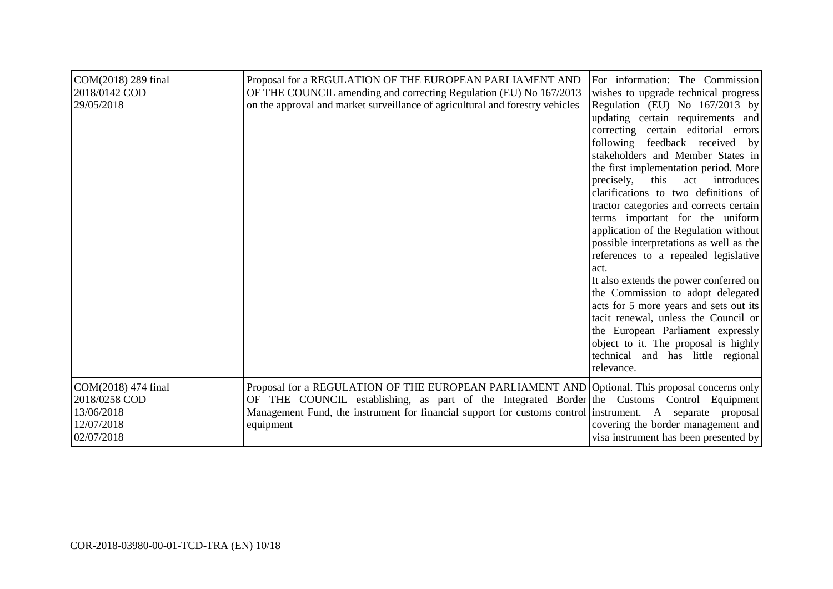| COM(2018) 289 final<br>2018/0142 COD<br>29/05/2018                             | Proposal for a REGULATION OF THE EUROPEAN PARLIAMENT AND<br>OF THE COUNCIL amending and correcting Regulation (EU) No 167/2013<br>on the approval and market surveillance of agricultural and forestry vehicles                                                                                                         | For information: The Commission<br>wishes to upgrade technical progress<br>Regulation (EU) No 167/2013 by<br>updating certain requirements and<br>correcting certain editorial errors<br>following feedback received by<br>stakeholders and Member States in<br>the first implementation period. More<br>precisely,<br>this<br>act introduces<br>clarifications to two definitions of<br>tractor categories and corrects certain<br>terms important for the uniform<br>application of the Regulation without<br>possible interpretations as well as the<br>references to a repealed legislative<br>act.<br>It also extends the power conferred on<br>the Commission to adopt delegated<br>acts for 5 more years and sets out its<br>tacit renewal, unless the Council or<br>the European Parliament expressly<br>object to it. The proposal is highly<br>technical and has little regional<br>relevance. |
|--------------------------------------------------------------------------------|-------------------------------------------------------------------------------------------------------------------------------------------------------------------------------------------------------------------------------------------------------------------------------------------------------------------------|----------------------------------------------------------------------------------------------------------------------------------------------------------------------------------------------------------------------------------------------------------------------------------------------------------------------------------------------------------------------------------------------------------------------------------------------------------------------------------------------------------------------------------------------------------------------------------------------------------------------------------------------------------------------------------------------------------------------------------------------------------------------------------------------------------------------------------------------------------------------------------------------------------|
| COM(2018) 474 final<br>2018/0258 COD<br>13/06/2018<br>12/07/2018<br>02/07/2018 | Proposal for a REGULATION OF THE EUROPEAN PARLIAMENT AND Optional. This proposal concerns only<br>OF THE COUNCIL establishing, as part of the Integrated Border the Customs Control Equipment<br>Management Fund, the instrument for financial support for customs control instrument. A separate proposal<br>equipment | covering the border management and<br>visa instrument has been presented by                                                                                                                                                                                                                                                                                                                                                                                                                                                                                                                                                                                                                                                                                                                                                                                                                              |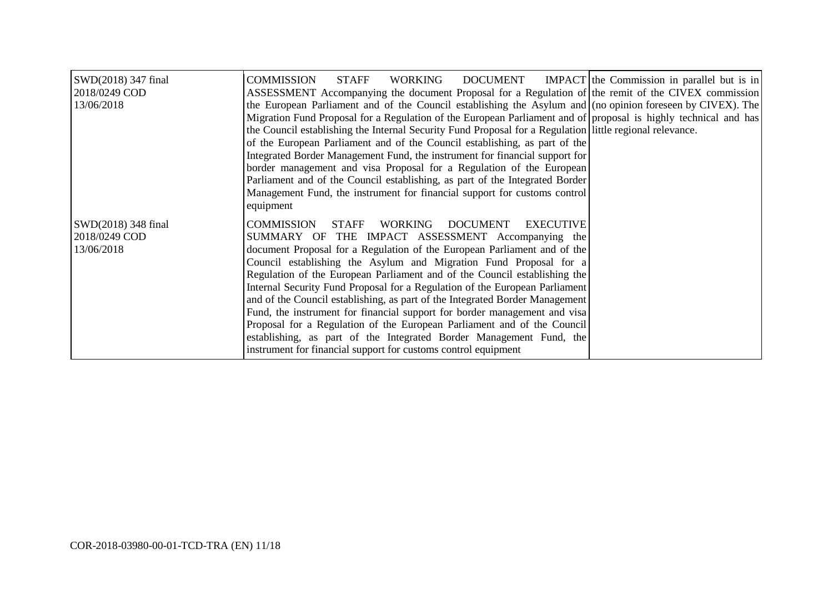| SWD(2018) 347 final<br>2018/0249 COD<br>13/06/2018 | <b>COMMISSION</b><br><b>STAFF</b><br>WORKING<br>ASSESSMENT Accompanying the document Proposal for a Regulation of the remit of the CIVEX commission<br>the European Parliament and of the Council establishing the Asylum and (no opinion foreseen by CIVEX). The<br>Migration Fund Proposal for a Regulation of the European Parliament and of proposal is highly technical and has<br>the Council establishing the Internal Security Fund Proposal for a Regulation little regional relevance.<br>of the European Parliament and of the Council establishing, as part of the<br>Integrated Border Management Fund, the instrument for financial support for<br>border management and visa Proposal for a Regulation of the European<br>Parliament and of the Council establishing, as part of the Integrated Border<br>Management Fund, the instrument for financial support for customs control<br>equipment | DOCUMENT IMPACT the Commission in parallel but is in |
|----------------------------------------------------|-----------------------------------------------------------------------------------------------------------------------------------------------------------------------------------------------------------------------------------------------------------------------------------------------------------------------------------------------------------------------------------------------------------------------------------------------------------------------------------------------------------------------------------------------------------------------------------------------------------------------------------------------------------------------------------------------------------------------------------------------------------------------------------------------------------------------------------------------------------------------------------------------------------------|------------------------------------------------------|
| SWD(2018) 348 final<br>2018/0249 COD<br>13/06/2018 | <b>DOCUMENT</b><br><b>EXECUTIVE</b><br><b>COMMISSION</b><br><b>STAFF</b><br>WORKING<br>SUMMARY OF THE IMPACT ASSESSMENT Accompanying the<br>document Proposal for a Regulation of the European Parliament and of the<br>Council establishing the Asylum and Migration Fund Proposal for a<br>Regulation of the European Parliament and of the Council establishing the<br>Internal Security Fund Proposal for a Regulation of the European Parliament<br>and of the Council establishing, as part of the Integrated Border Management<br>Fund, the instrument for financial support for border management and visa<br>Proposal for a Regulation of the European Parliament and of the Council<br>establishing, as part of the Integrated Border Management Fund, the<br>instrument for financial support for customs control equipment                                                                          |                                                      |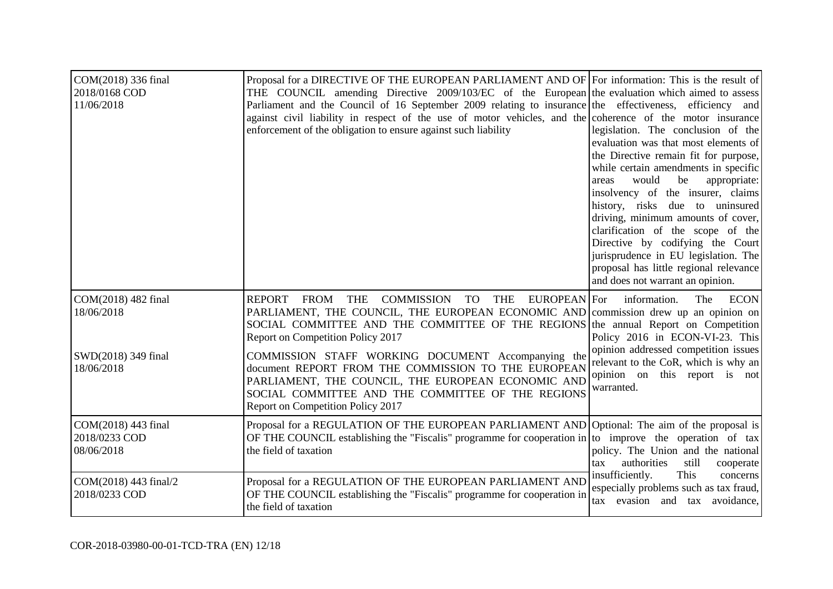| COM(2018) 336 final<br>2018/0168 COD<br>11/06/2018 | Proposal for a DIRECTIVE OF THE EUROPEAN PARLIAMENT AND OF For information: This is the result of<br>THE COUNCIL amending Directive 2009/103/EC of the European the evaluation which aimed to assess<br>Parliament and the Council of 16 September 2009 relating to insurance the effectiveness, efficiency and<br>against civil liability in respect of the use of motor vehicles, and the coherence of the motor insurance<br>enforcement of the obligation to ensure against such liability | legislation. The conclusion of the<br>evaluation was that most elements of<br>the Directive remain fit for purpose,<br>while certain amendments in specific<br>would<br>be<br>appropriate:<br>areas<br>insolvency of the insurer, claims<br>history, risks due to uninsured<br>driving, minimum amounts of cover,<br>clarification of the scope of the<br>Directive by codifying the Court<br>jurisprudence in EU legislation. The<br>proposal has little regional relevance<br>and does not warrant an opinion. |
|----------------------------------------------------|------------------------------------------------------------------------------------------------------------------------------------------------------------------------------------------------------------------------------------------------------------------------------------------------------------------------------------------------------------------------------------------------------------------------------------------------------------------------------------------------|------------------------------------------------------------------------------------------------------------------------------------------------------------------------------------------------------------------------------------------------------------------------------------------------------------------------------------------------------------------------------------------------------------------------------------------------------------------------------------------------------------------|
| COM(2018) 482 final<br>18/06/2018                  | <b>THE</b><br><b>COMMISSION</b><br>REPORT<br>FROM<br><b>TO</b><br><b>THE</b><br>EUROPEAN For<br>PARLIAMENT, THE COUNCIL, THE EUROPEAN ECONOMIC AND commission drew up an opinion on<br>SOCIAL COMMITTEE AND THE COMMITTEE OF THE REGIONS the annual Report on Competition<br>Report on Competition Policy 2017                                                                                                                                                                                 | information.<br><b>ECON</b><br>The<br>Policy 2016 in ECON-VI-23. This                                                                                                                                                                                                                                                                                                                                                                                                                                            |
| SWD(2018) 349 final<br>18/06/2018                  | COMMISSION STAFF WORKING DOCUMENT Accompanying the<br>document REPORT FROM THE COMMISSION TO THE EUROPEAN<br>PARLIAMENT, THE COUNCIL, THE EUROPEAN ECONOMIC AND<br>SOCIAL COMMITTEE AND THE COMMITTEE OF THE REGIONS<br>Report on Competition Policy 2017                                                                                                                                                                                                                                      | opinion addressed competition issues<br>relevant to the CoR, which is why an<br>opinion on this report is not<br>warranted.                                                                                                                                                                                                                                                                                                                                                                                      |
| COM(2018) 443 final<br>2018/0233 COD<br>08/06/2018 | Proposal for a REGULATION OF THE EUROPEAN PARLIAMENT AND Optional: The aim of the proposal is<br>OF THE COUNCIL establishing the "Fiscalis" programme for cooperation in to improve the operation of tax<br>the field of taxation                                                                                                                                                                                                                                                              | policy. The Union and the national<br>authorities<br>still<br>cooperate<br>tax                                                                                                                                                                                                                                                                                                                                                                                                                                   |
| COM(2018) 443 final/2<br>2018/0233 COD             | Proposal for a REGULATION OF THE EUROPEAN PARLIAMENT AND<br>OF THE COUNCIL establishing the "Fiscalis" programme for cooperation in<br>the field of taxation                                                                                                                                                                                                                                                                                                                                   | insufficiently.<br>This<br>concerns<br>especially problems such as tax fraud,<br>tax evasion and<br>tax avoidance,                                                                                                                                                                                                                                                                                                                                                                                               |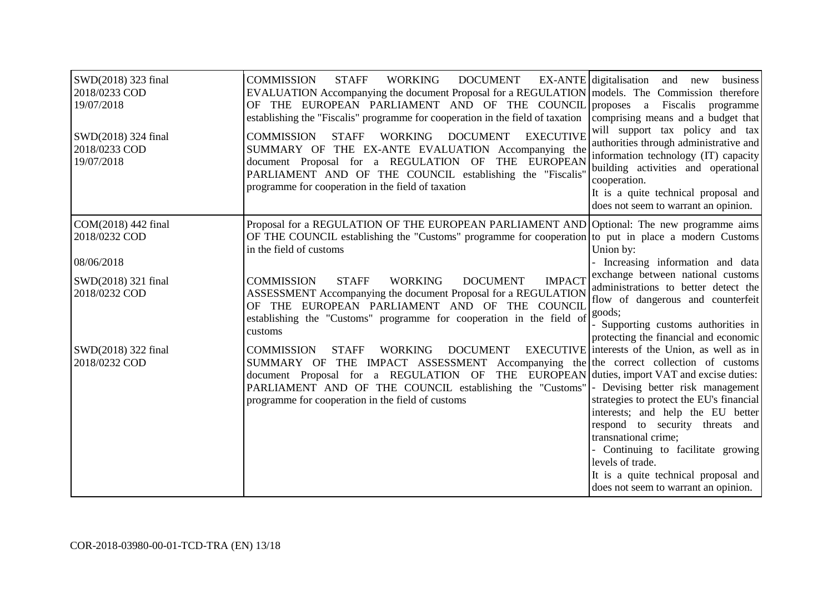| SWD(2018) 323 final<br>2018/0233 COD<br>19/07/2018<br>SWD(2018) 324 final<br>2018/0233 COD<br>19/07/2018 | <b>COMMISSION</b><br><b>DOCUMENT</b><br><b>STAFF</b><br>WORKING<br>EVALUATION Accompanying the document Proposal for a REGULATION models. The Commission therefore<br>OF THE EUROPEAN PARLIAMENT AND OF THE COUNCIL proposes a<br>establishing the "Fiscalis" programme for cooperation in the field of taxation<br><b>EXECUTIVE</b><br><b>STAFF</b><br>WORKING<br><b>DOCUMENT</b><br><b>COMMISSION</b><br>SUMMARY OF THE EX-ANTE EVALUATION Accompanying the<br>document Proposal for a REGULATION OF THE EUROPEAN<br>PARLIAMENT AND OF THE COUNCIL establishing the "Fiscalis'<br>programme for cooperation in the field of taxation | EX-ANTE digitalisation and new<br>business<br>Fiscalis<br>programme<br>comprising means and a budget that<br>will support tax policy and tax<br>authorities through administrative and<br>information technology (IT) capacity<br>building activities and operational<br>cooperation.<br>It is a quite technical proposal and<br>does not seem to warrant an opinion. |
|----------------------------------------------------------------------------------------------------------|----------------------------------------------------------------------------------------------------------------------------------------------------------------------------------------------------------------------------------------------------------------------------------------------------------------------------------------------------------------------------------------------------------------------------------------------------------------------------------------------------------------------------------------------------------------------------------------------------------------------------------------|-----------------------------------------------------------------------------------------------------------------------------------------------------------------------------------------------------------------------------------------------------------------------------------------------------------------------------------------------------------------------|
| COM(2018) 442 final<br>2018/0232 COD<br>08/06/2018<br>SWD(2018) 321 final                                | Proposal for a REGULATION OF THE EUROPEAN PARLIAMENT AND Optional: The new programme aims<br>OF THE COUNCIL establishing the "Customs" programme for cooperation to put in place a modern Customs<br>in the field of customs<br><b>WORKING</b><br><b>DOCUMENT</b><br><b>IMPACT</b><br><b>COMMISSION</b><br><b>STAFF</b>                                                                                                                                                                                                                                                                                                                | Union by:<br>- Increasing information and data<br>exchange between national customs<br>administrations to better detect the                                                                                                                                                                                                                                           |
| 2018/0232 COD                                                                                            | ASSESSMENT Accompanying the document Proposal for a REGULATION<br>OF THE EUROPEAN PARLIAMENT AND OF THE COUNCIL<br>establishing the "Customs" programme for cooperation in the field of<br>customs                                                                                                                                                                                                                                                                                                                                                                                                                                     | flow of dangerous and counterfeit<br>goods;<br>- Supporting customs authorities in<br>protecting the financial and economic                                                                                                                                                                                                                                           |
| SWD(2018) 322 final<br>2018/0232 COD                                                                     | <b>COMMISSION</b><br><b>WORKING</b><br><b>DOCUMENT</b><br><b>STAFF</b><br>SUMMARY OF THE IMPACT ASSESSMENT Accompanying the the correct collection of customs<br>document Proposal for a REGULATION OF THE EUROPEAN duties, import VAT and excise duties:<br>PARLIAMENT AND OF THE COUNCIL establishing the "Customs"  - Devising better risk management<br>programme for cooperation in the field of customs                                                                                                                                                                                                                          | EXECUTIVE interests of the Union, as well as in<br>strategies to protect the EU's financial<br>interests; and help the EU better<br>respond to security threats and<br>transnational crime;<br>- Continuing to facilitate growing<br>levels of trade.<br>It is a quite technical proposal and<br>does not seem to warrant an opinion.                                 |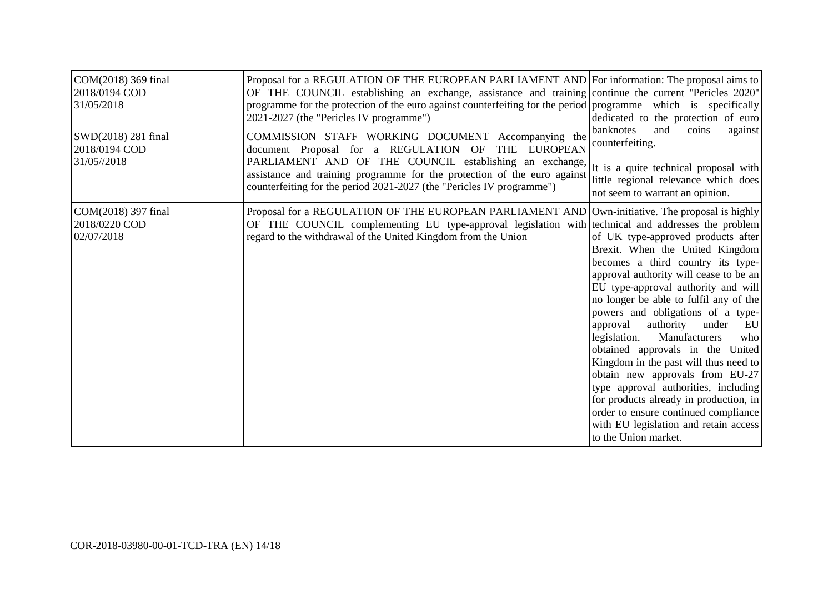| COM(2018) 369 final<br>2018/0194 COD<br>31/05/2018<br>SWD(2018) 281 final | Proposal for a REGULATION OF THE EUROPEAN PARLIAMENT AND For information: The proposal aims to<br>OF THE COUNCIL establishing an exchange, assistance and training continue the current "Pericles 2020"<br>programme for the protection of the euro against counterfeiting for the period programme which is specifically<br>2021-2027 (the "Pericles IV programme")<br>COMMISSION STAFF WORKING DOCUMENT Accompanying the | dedicated to the protection of euro<br>banknotes<br>and<br>coins<br>against<br>counterfeiting.                                                                                                                                                                                                                                                                                                                                                                                                                                                                                                                                                                     |
|---------------------------------------------------------------------------|----------------------------------------------------------------------------------------------------------------------------------------------------------------------------------------------------------------------------------------------------------------------------------------------------------------------------------------------------------------------------------------------------------------------------|--------------------------------------------------------------------------------------------------------------------------------------------------------------------------------------------------------------------------------------------------------------------------------------------------------------------------------------------------------------------------------------------------------------------------------------------------------------------------------------------------------------------------------------------------------------------------------------------------------------------------------------------------------------------|
| 2018/0194 COD<br>31/05//2018                                              | document Proposal for a REGULATION OF<br>THE EUROPEAN<br>PARLIAMENT AND OF THE COUNCIL establishing an exchange,<br>assistance and training programme for the protection of the euro against $\left  \begin{array}{cc} u & u & u \ u & v & u \end{array} \right $ responsible the regional relevance which does<br>counterfeiting for the period 2021-2027 (the "Pericles IV programme")                                   | It is a quite technical proposal with<br>not seem to warrant an opinion.                                                                                                                                                                                                                                                                                                                                                                                                                                                                                                                                                                                           |
| COM(2018) 397 final<br>2018/0220 COD<br>02/07/2018                        | Proposal for a REGULATION OF THE EUROPEAN PARLIAMENT AND Own-initiative. The proposal is highly<br>OF THE COUNCIL complementing EU type-approval legislation with technical and addresses the problem<br>regard to the withdrawal of the United Kingdom from the Union                                                                                                                                                     | of UK type-approved products after<br>Brexit. When the United Kingdom<br>becomes a third country its type-<br>approval authority will cease to be an<br>EU type-approval authority and will<br>no longer be able to fulfil any of the<br>powers and obligations of a type-<br>authority under<br>approval<br>EU<br>Manufacturers<br>legislation.<br>who<br>obtained approvals in the United<br>Kingdom in the past will thus need to<br>obtain new approvals from EU-27<br>type approval authorities, including<br>for products already in production, in<br>order to ensure continued compliance<br>with EU legislation and retain access<br>to the Union market. |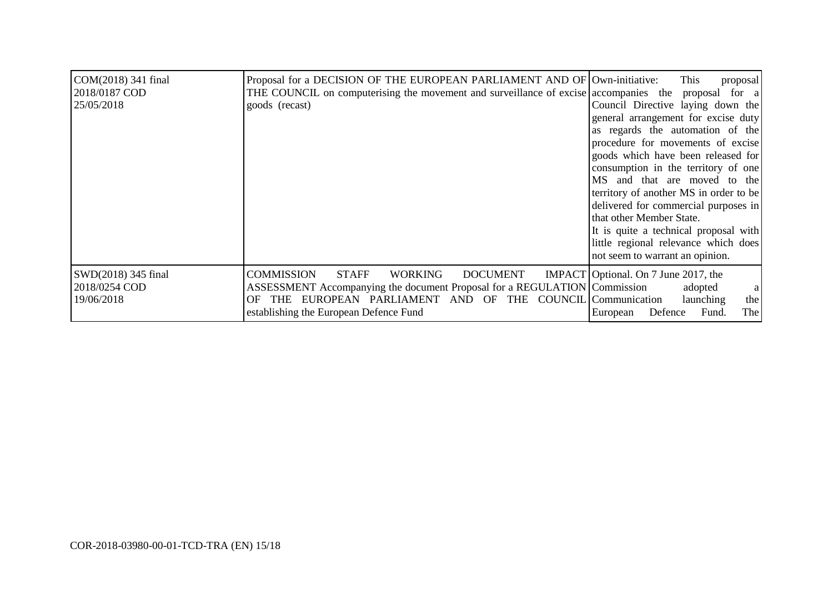| COM(2018) 341 final<br>2018/0187 COD<br>25/05/2018 | Proposal for a DECISION OF THE EUROPEAN PARLIAMENT AND OF Own-initiative:<br>THE COUNCIL on computerising the movement and surveillance of excise accompanies the proposal for a<br>goods (recast)                                                                  | This<br>proposal<br>Council Directive laying down the<br>general arrangement for excise duty<br>as regards the automation of the<br>procedure for movements of excise<br>goods which have been released for<br>consumption in the territory of one<br>MS and that are moved to the<br>territory of another MS in order to be<br>delivered for commercial purposes in<br>that other Member State. |
|----------------------------------------------------|---------------------------------------------------------------------------------------------------------------------------------------------------------------------------------------------------------------------------------------------------------------------|--------------------------------------------------------------------------------------------------------------------------------------------------------------------------------------------------------------------------------------------------------------------------------------------------------------------------------------------------------------------------------------------------|
|                                                    |                                                                                                                                                                                                                                                                     | It is quite a technical proposal with<br>little regional relevance which does<br>not seem to warrant an opinion.                                                                                                                                                                                                                                                                                 |
| SWD(2018) 345 final<br>2018/0254 COD<br>19/06/2018 | <b>COMMISSION</b><br><b>STAFF</b><br>WORKING<br><b>DOCUMENT</b><br>ASSESSMENT Accompanying the document Proposal for a REGULATION Commission<br>EUROPEAN PARLIAMENT AND OF THE COUNCIL Communication<br>OF.<br><b>THE</b><br>establishing the European Defence Fund | IMPACT Optional. On 7 June 2017, the<br>adopted<br>a<br>the<br>launching<br>Fund.<br>The<br>Defence<br>European                                                                                                                                                                                                                                                                                  |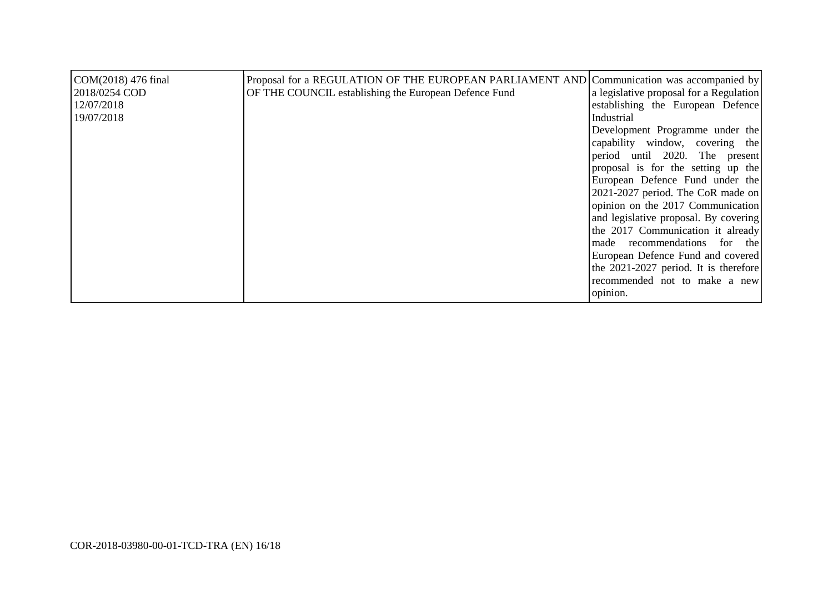| COM(2018) 476 final<br>2018/0254 COD<br>12/07/2018<br>19/07/2018 | Proposal for a REGULATION OF THE EUROPEAN PARLIAMENT AND Communication was accompanied by<br>OF THE COUNCIL establishing the European Defence Fund | a legislative proposal for a Regulation<br>establishing the European Defence<br>Industrial |
|------------------------------------------------------------------|----------------------------------------------------------------------------------------------------------------------------------------------------|--------------------------------------------------------------------------------------------|
|                                                                  |                                                                                                                                                    | Development Programme under the                                                            |
|                                                                  |                                                                                                                                                    | capability window, covering the                                                            |
|                                                                  |                                                                                                                                                    | period until 2020. The present                                                             |
|                                                                  |                                                                                                                                                    | proposal is for the setting up the                                                         |
|                                                                  |                                                                                                                                                    | European Defence Fund under the                                                            |
|                                                                  |                                                                                                                                                    | 2021-2027 period. The CoR made on                                                          |
|                                                                  |                                                                                                                                                    | opinion on the 2017 Communication                                                          |
|                                                                  |                                                                                                                                                    | and legislative proposal. By covering                                                      |
|                                                                  |                                                                                                                                                    | the 2017 Communication it already                                                          |
|                                                                  |                                                                                                                                                    | made recommendations for the                                                               |
|                                                                  |                                                                                                                                                    | European Defence Fund and covered                                                          |
|                                                                  |                                                                                                                                                    | the 2021-2027 period. It is therefore                                                      |
|                                                                  |                                                                                                                                                    | recommended not to make a new                                                              |
|                                                                  |                                                                                                                                                    | opinion.                                                                                   |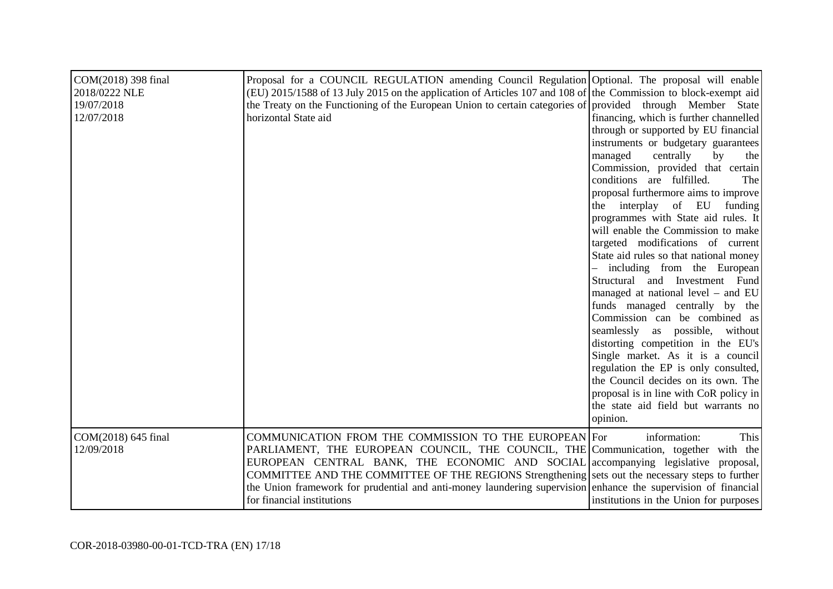| COM(2018) 398 final<br>2018/0222 NLE<br>19/07/2018<br>12/07/2018 | Proposal for a COUNCIL REGULATION amending Council Regulation Optional. The proposal will enable<br>(EU) 2015/1588 of 13 July 2015 on the application of Articles 107 and 108 of the Commission to block-exempt aid<br>the Treaty on the Functioning of the European Union to certain categories of provided through Member State<br>horizontal State aid                                                                                                                            | financing, which is further channelled<br>through or supported by EU financial<br>instruments or budgetary guarantees<br>managed<br>centrally<br>by<br>the<br>Commission, provided that certain<br>conditions are fulfilled.<br>The<br>proposal furthermore aims to improve<br>the interplay of EU<br>funding<br>programmes with State aid rules. It<br>will enable the Commission to make<br>targeted modifications of current<br>State aid rules so that national money<br>including from the European<br>Structural and Investment Fund<br>managed at national level - and EU<br>funds managed centrally by the<br>Commission can be combined as<br>seamlessly as possible, without<br>distorting competition in the EU's<br>Single market. As it is a council<br>regulation the EP is only consulted,<br>the Council decides on its own. The<br>proposal is in line with CoR policy in<br>the state aid field but warrants no<br>opinion. |
|------------------------------------------------------------------|--------------------------------------------------------------------------------------------------------------------------------------------------------------------------------------------------------------------------------------------------------------------------------------------------------------------------------------------------------------------------------------------------------------------------------------------------------------------------------------|-----------------------------------------------------------------------------------------------------------------------------------------------------------------------------------------------------------------------------------------------------------------------------------------------------------------------------------------------------------------------------------------------------------------------------------------------------------------------------------------------------------------------------------------------------------------------------------------------------------------------------------------------------------------------------------------------------------------------------------------------------------------------------------------------------------------------------------------------------------------------------------------------------------------------------------------------|
| COM(2018) 645 final<br>12/09/2018                                | COMMUNICATION FROM THE COMMISSION TO THE EUROPEAN For<br>PARLIAMENT, THE EUROPEAN COUNCIL, THE COUNCIL, THE Communication, together with the<br>EUROPEAN CENTRAL BANK, THE ECONOMIC AND SOCIAL accompanying legislative proposal,<br>COMMITTEE AND THE COMMITTEE OF THE REGIONS Strengthening sets out the necessary steps to further<br>the Union framework for prudential and anti-money laundering supervision enhance the supervision of financial<br>for financial institutions | information:<br>This<br>institutions in the Union for purposes                                                                                                                                                                                                                                                                                                                                                                                                                                                                                                                                                                                                                                                                                                                                                                                                                                                                                |